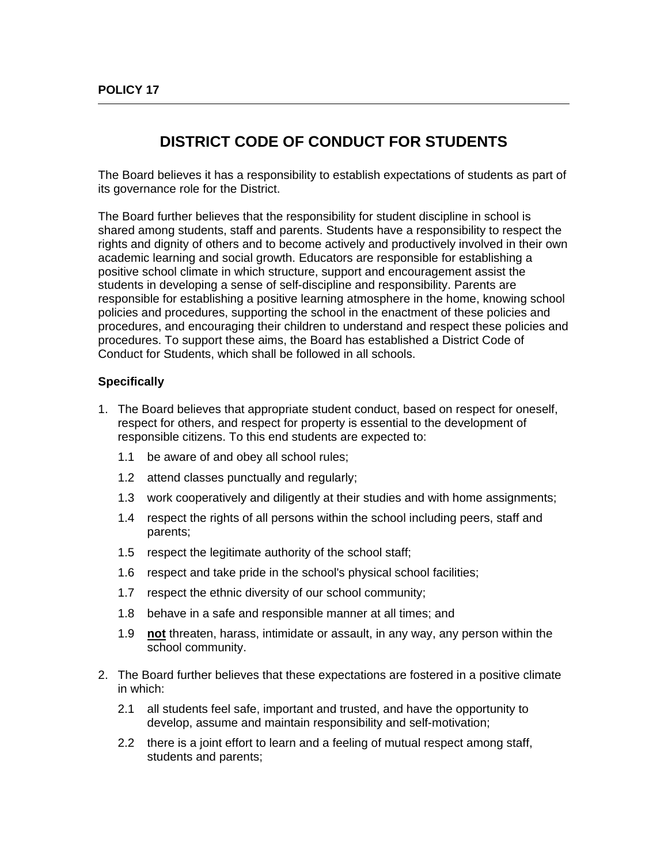## **DISTRICT CODE OF CONDUCT FOR STUDENTS**

The Board believes it has a responsibility to establish expectations of students as part of its governance role for the District.

The Board further believes that the responsibility for student discipline in school is shared among students, staff and parents. Students have a responsibility to respect the rights and dignity of others and to become actively and productively involved in their own academic learning and social growth. Educators are responsible for establishing a positive school climate in which structure, support and encouragement assist the students in developing a sense of self-discipline and responsibility. Parents are responsible for establishing a positive learning atmosphere in the home, knowing school policies and procedures, supporting the school in the enactment of these policies and procedures, and encouraging their children to understand and respect these policies and procedures. To support these aims, the Board has established a District Code of Conduct for Students, which shall be followed in all schools.

## **Specifically**

- 1. The Board believes that appropriate student conduct, based on respect for oneself, respect for others, and respect for property is essential to the development of responsible citizens. To this end students are expected to:
	- 1.1 be aware of and obey all school rules;
	- 1.2 attend classes punctually and regularly;
	- 1.3 work cooperatively and diligently at their studies and with home assignments;
	- 1.4 respect the rights of all persons within the school including peers, staff and parents;
	- 1.5 respect the legitimate authority of the school staff;
	- 1.6 respect and take pride in the school's physical school facilities;
	- 1.7 respect the ethnic diversity of our school community;
	- 1.8 behave in a safe and responsible manner at all times; and
	- 1.9 **not** threaten, harass, intimidate or assault, in any way, any person within the school community.
- 2. The Board further believes that these expectations are fostered in a positive climate in which:
	- 2.1 all students feel safe, important and trusted, and have the opportunity to develop, assume and maintain responsibility and self-motivation;
	- 2.2 there is a joint effort to learn and a feeling of mutual respect among staff, students and parents;